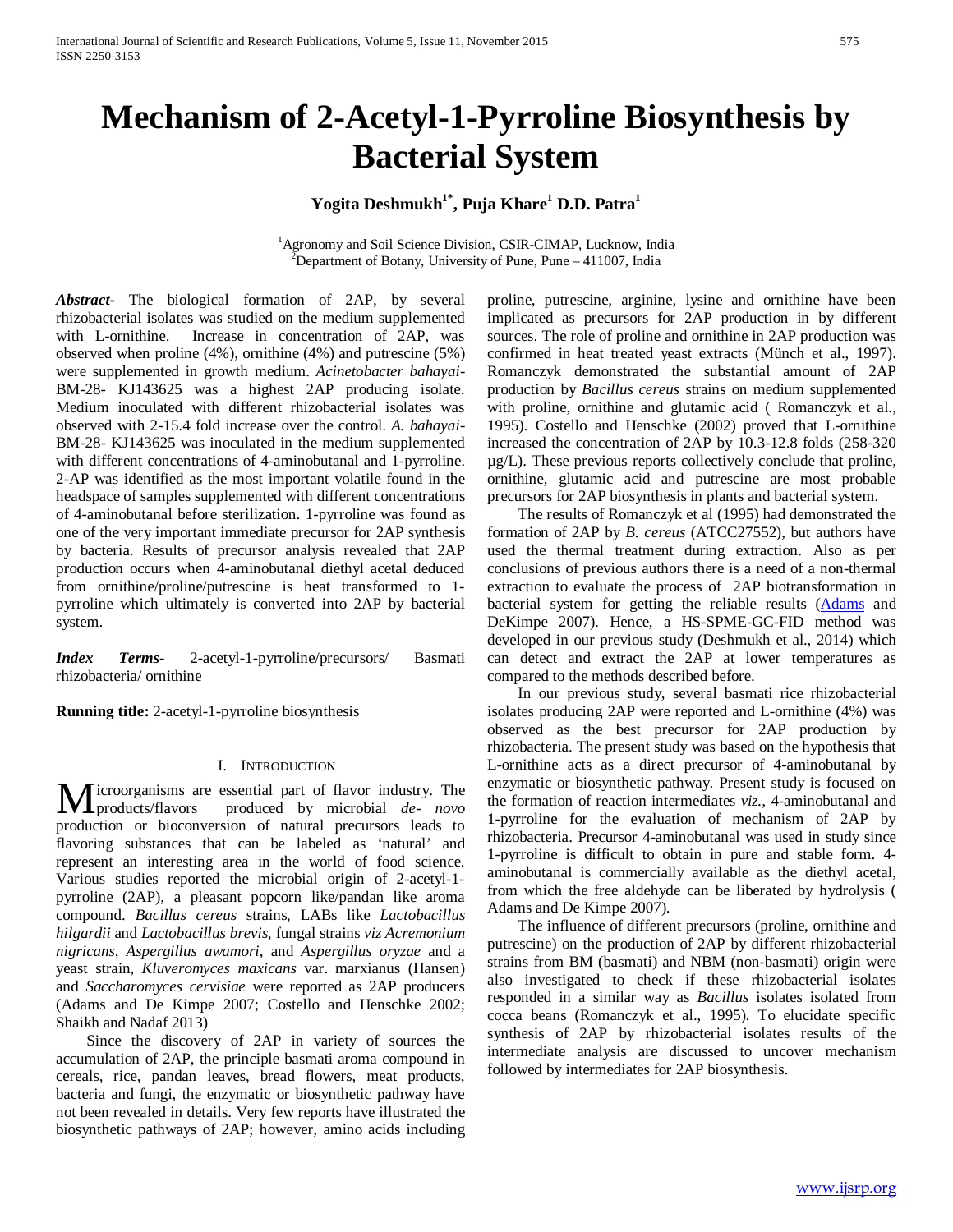# **Mechanism of 2-Acetyl-1-Pyrroline Biosynthesis by Bacterial System**

# Yogita Deshmukh<sup>1\*</sup>, Puja Khare<sup>1</sup> D.D. Patra<sup>1</sup>

<sup>1</sup>Agronomy and Soil Science Division, CSIR-CIMAP, Lucknow, India<br><sup>2</sup>Department of Botany, University of Bune, Pune, 411007, India  $P^2$ Department of Botany, University of Pune, Pune – 411007, India

*Abstract***-** The biological formation of 2AP, by several rhizobacterial isolates was studied on the medium supplemented with L-ornithine. Increase in concentration of 2AP, was observed when proline (4%), ornithine (4%) and putrescine (5%) were supplemented in growth medium. *Acinetobacter bahayai*-BM-28- KJ143625 was a highest 2AP producing isolate. Medium inoculated with different rhizobacterial isolates was observed with 2-15.4 fold increase over the control. *A. bahayai*-BM-28- KJ143625 was inoculated in the medium supplemented with different concentrations of 4-aminobutanal and 1-pyrroline. 2-AP was identified as the most important volatile found in the headspace of samples supplemented with different concentrations of 4-aminobutanal before sterilization. 1-pyrroline was found as one of the very important immediate precursor for 2AP synthesis by bacteria. Results of precursor analysis revealed that 2AP production occurs when 4-aminobutanal diethyl acetal deduced from ornithine/proline/putrescine is heat transformed to 1 pyrroline which ultimately is converted into 2AP by bacterial system.

*Index Terms*- 2-acetyl-1-pyrroline/precursors/ Basmati rhizobacteria/ ornithine

**Running title:** 2-acetyl-1-pyrroline biosynthesis

### I. INTRODUCTION

icroorganisms are essential part of flavor industry. The produced by microbial *de- novo* production or bioconversion of natural precursors leads to flavoring substances that can be labeled as 'natural' and represent an interesting area in the world of food science. Various studies reported the microbial origin of 2-acetyl-1 pyrroline (2AP), a pleasant popcorn like/pandan like aroma compound. *Bacillus cereus* strains, LABs like *Lactobacillus hilgardii* and *Lactobacillus brevis*, fungal strains *viz Acremonium nigricans*, *Aspergillus awamori*, and *Aspergillus oryzae* and a yeast strain, *Kluveromyces maxicans* var. marxianus (Hansen) and *Saccharomyces cervisiae* were reported as 2AP producers (Adams and De Kimpe 2007; Costello and Henschke 2002; Shaikh and Nadaf 2013) **N** products/flavors

 Since the discovery of 2AP in variety of sources the accumulation of 2AP, the principle basmati aroma compound in cereals, rice, pandan leaves, bread flowers, meat products, bacteria and fungi, the enzymatic or biosynthetic pathway have not been revealed in details. Very few reports have illustrated the biosynthetic pathways of 2AP; however, amino acids including proline, putrescine, arginine, lysine and ornithine have been implicated as precursors for 2AP production in by different sources. The role of proline and ornithine in 2AP production was confirmed in heat treated yeast extracts (Münch et al., 1997). Romanczyk demonstrated the substantial amount of 2AP production by *Bacillus cereus* strains on medium supplemented with proline, ornithine and glutamic acid ( Romanczyk et al., 1995). Costello and Henschke (2002) proved that L-ornithine increased the concentration of 2AP by 10.3-12.8 folds (258-320 µg/L). These previous reports collectively conclude that proline, ornithine, glutamic acid and putrescine are most probable precursors for 2AP biosynthesis in plants and bacterial system.

 The results of Romanczyk et al (1995) had demonstrated the formation of 2AP by *B. cereus* (ATCC27552), but authors have used the thermal treatment during extraction. Also as per conclusions of previous authors there is a need of a non-thermal extraction to evaluate the process of 2AP biotransformation in bacterial system for getting the reliable results (Adams and DeKimpe 2007). Hence, a HS-SPME-GC-FID method was developed in our previous study (Deshmukh et al., 2014) which can detect and extract the 2AP at lower temperatures as compared to the methods described before.

 In our previous study, several basmati rice rhizobacterial isolates producing 2AP were reported and L-ornithine (4%) was observed as the best precursor for 2AP production by rhizobacteria. The present study was based on the hypothesis that L-ornithine acts as a direct precursor of 4-aminobutanal by enzymatic or biosynthetic pathway. Present study is focused on the formation of reaction intermediates *viz.,* 4-aminobutanal and 1-pyrroline for the evaluation of mechanism of 2AP by rhizobacteria. Precursor 4-aminobutanal was used in study since 1-pyrroline is difficult to obtain in pure and stable form. 4 aminobutanal is commercially available as the diethyl acetal, from which the free aldehyde can be liberated by hydrolysis ( Adams and De Kimpe 2007).

 The influence of different precursors (proline, ornithine and putrescine) on the production of 2AP by different rhizobacterial strains from BM (basmati) and NBM (non-basmati) origin were also investigated to check if these rhizobacterial isolates responded in a similar way as *Bacillus* isolates isolated from cocca beans (Romanczyk et al., 1995). To elucidate specific synthesis of 2AP by rhizobacterial isolates results of the intermediate analysis are discussed to uncover mechanism followed by intermediates for 2AP biosynthesis.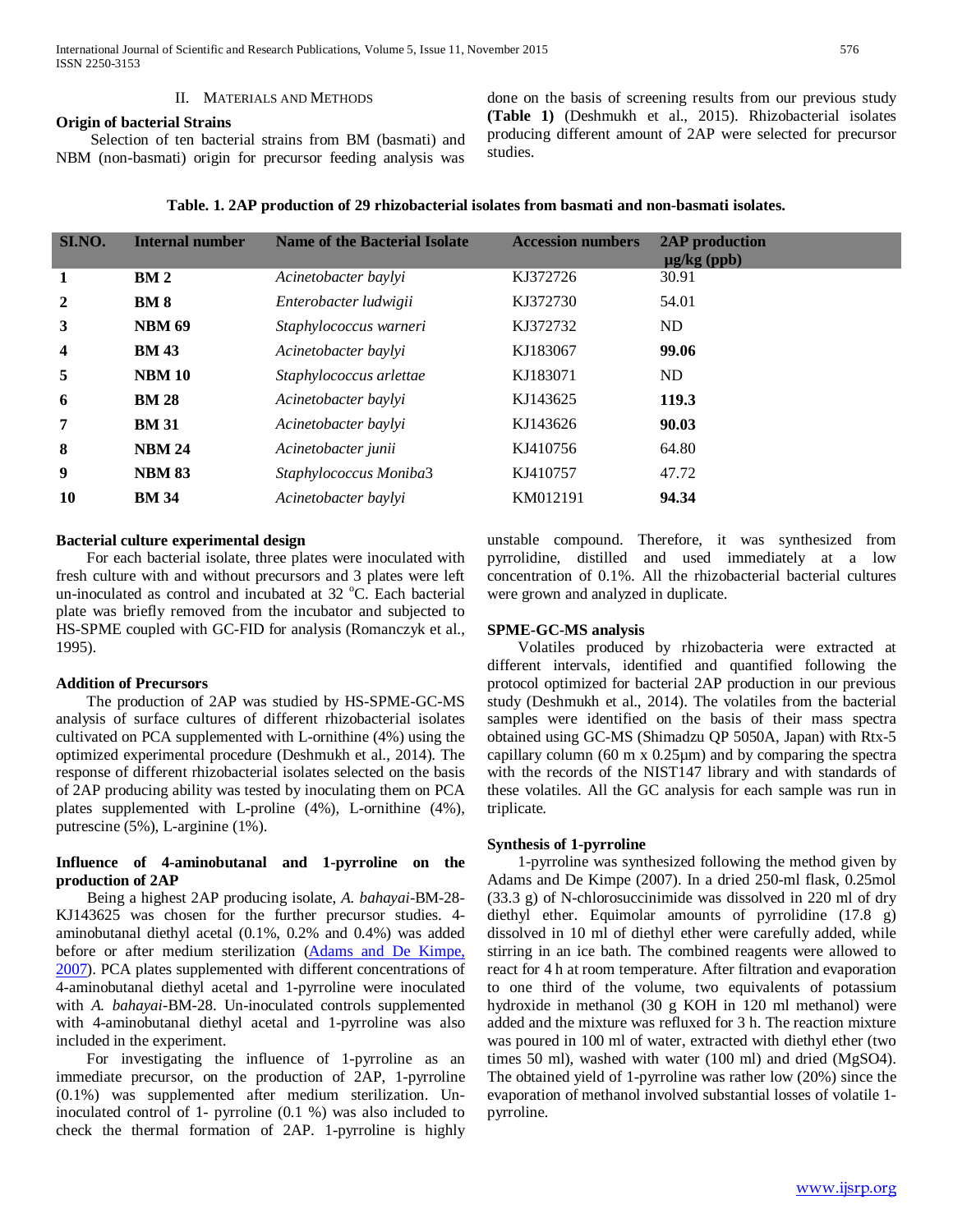# II. MATERIALS AND METHODS

**Origin of bacterial Strains**

 Selection of ten bacterial strains from BM (basmati) and NBM (non-basmati) origin for precursor feeding analysis was done on the basis of screening results from our previous study **(Table 1)** (Deshmukh et al., 2015). Rhizobacterial isolates producing different amount of 2AP were selected for precursor studies.

| SI.NO.                  | <b>Internal number</b> | <b>Name of the Bacterial Isolate</b> | <b>Accession numbers</b> | 2AP production<br>$\mu$ g/kg (ppb) |
|-------------------------|------------------------|--------------------------------------|--------------------------|------------------------------------|
| 1                       | BM <sub>2</sub>        | Acinetobacter baylyi                 | KJ372726                 | 30.91                              |
| $\overline{2}$          | <b>BM8</b>             | Enterobacter ludwigii                | KJ372730                 | 54.01                              |
| 3                       | <b>NBM 69</b>          | Staphylococcus warneri               | KJ372732                 | ND                                 |
| $\overline{\mathbf{4}}$ | <b>BM 43</b>           | Acinetobacter baylyi                 | KJ183067                 | 99.06                              |
| 5                       | <b>NBM 10</b>          | Staphylococcus arlettae              | KJ183071                 | ND                                 |
| 6                       | <b>BM 28</b>           | Acinetobacter baylyi                 | KJ143625                 | 119.3                              |
| 7                       | <b>BM 31</b>           | Acinetobacter baylyi                 | KJ143626                 | 90.03                              |
| 8                       | <b>NBM 24</b>          | Acinetobacter junii                  | KJ410756                 | 64.80                              |
| 9                       | <b>NBM 83</b>          | Staphylococcus Moniba3               | KJ410757                 | 47.72                              |
| <b>10</b>               | <b>BM 34</b>           | Acinetobacter baylyi                 | KM012191                 | 94.34                              |

# **Bacterial culture experimental design**

 For each bacterial isolate, three plates were inoculated with fresh culture with and without precursors and 3 plates were left un-inoculated as control and incubated at 32 °C. Each bacterial plate was briefly removed from the incubator and subjected to HS-SPME coupled with GC-FID for analysis (Romanczyk et al., 1995).

### **Addition of Precursors**

 The production of 2AP was studied by HS-SPME-GC-MS analysis of surface cultures of different rhizobacterial isolates cultivated on PCA supplemented with L-ornithine (4%) using the optimized experimental procedure (Deshmukh et al., 2014). The response of different rhizobacterial isolates selected on the basis of 2AP producing ability was tested by inoculating them on PCA plates supplemented with L-proline (4%), L-ornithine (4%), putrescine (5%), L-arginine (1%).

# **Influence of 4-aminobutanal and 1-pyrroline on the production of 2AP**

 Being a highest 2AP producing isolate, *A. bahayai*-BM-28- KJ143625 was chosen for the further precursor studies. 4 aminobutanal diethyl acetal (0.1%, 0.2% and 0.4%) was added before or after medium sterilization (Adams and De Kimpe, 2007). PCA plates supplemented with different concentrations of 4-aminobutanal diethyl acetal and 1-pyrroline were inoculated with *A. bahayai-*BM-28. Un-inoculated controls supplemented with 4-aminobutanal diethyl acetal and 1-pyrroline was also included in the experiment.

 For investigating the influence of 1-pyrroline as an immediate precursor, on the production of 2AP, 1-pyrroline (0.1%) was supplemented after medium sterilization. Uninoculated control of 1- pyrroline (0.1 %) was also included to check the thermal formation of 2AP. 1-pyrroline is highly

unstable compound. Therefore, it was synthesized from pyrrolidine, distilled and used immediately at a low concentration of 0.1%. All the rhizobacterial bacterial cultures were grown and analyzed in duplicate.

# **SPME-GC-MS analysis**

 Volatiles produced by rhizobacteria were extracted at different intervals, identified and quantified following the protocol optimized for bacterial 2AP production in our previous study (Deshmukh et al., 2014). The volatiles from the bacterial samples were identified on the basis of their mass spectra obtained using GC-MS (Shimadzu QP 5050A, Japan) with Rtx-5 capillary column (60 m x 0.25µm) and by comparing the spectra with the records of the NIST147 library and with standards of these volatiles. All the GC analysis for each sample was run in triplicate.

# **Synthesis of 1-pyrroline**

 1-pyrroline was synthesized following the method given by Adams and De Kimpe (2007). In a dried 250-ml flask, 0.25mol (33.3 g) of N-chlorosuccinimide was dissolved in 220 ml of dry diethyl ether. Equimolar amounts of pyrrolidine (17.8 g) dissolved in 10 ml of diethyl ether were carefully added, while stirring in an ice bath. The combined reagents were allowed to react for 4 h at room temperature. After filtration and evaporation to one third of the volume, two equivalents of potassium hydroxide in methanol (30 g KOH in 120 ml methanol) were added and the mixture was refluxed for 3 h. The reaction mixture was poured in 100 ml of water, extracted with diethyl ether (two times 50 ml), washed with water (100 ml) and dried (MgSO4). The obtained yield of 1-pyrroline was rather low (20%) since the evaporation of methanol involved substantial losses of volatile 1 pyrroline.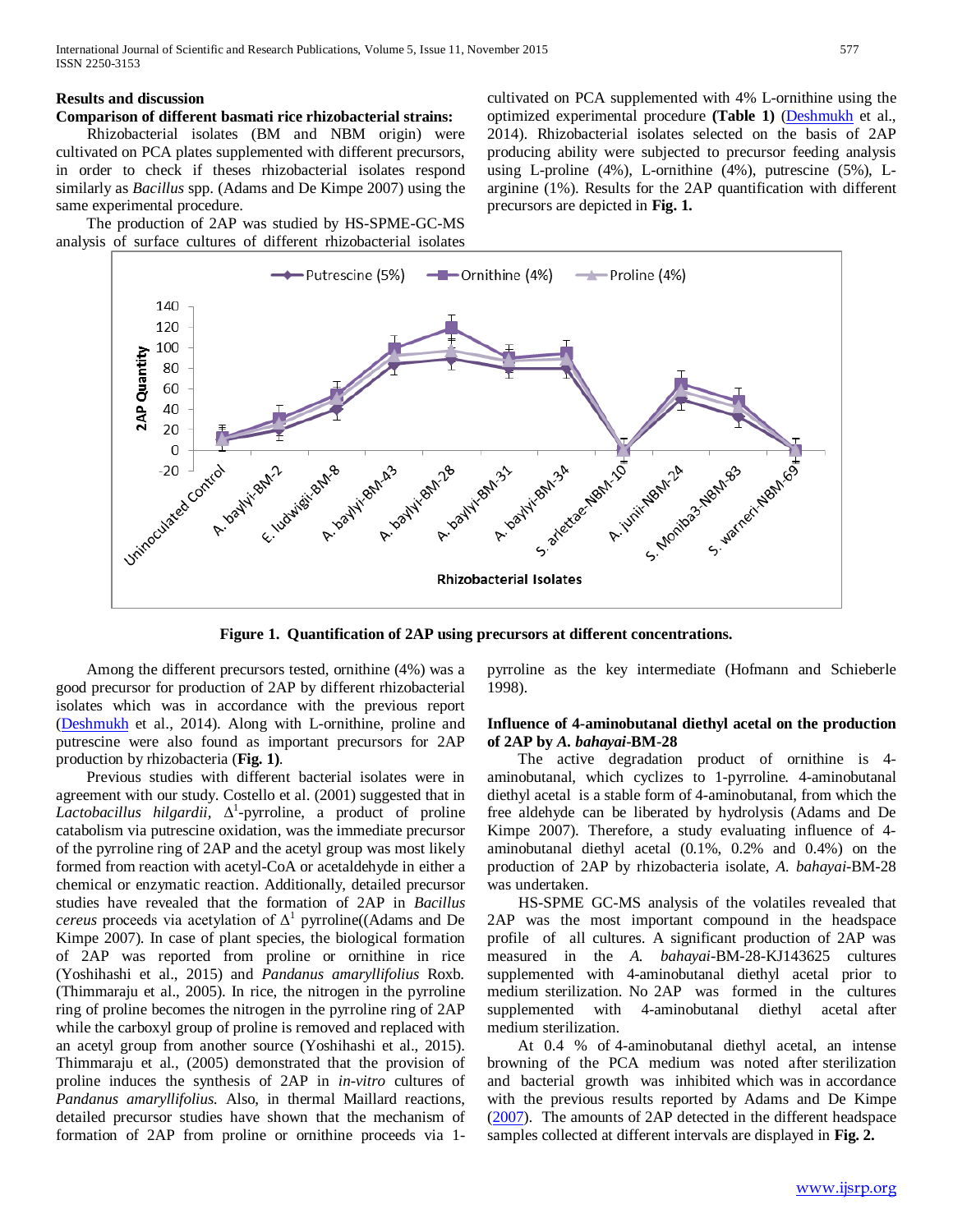# **Results and discussion**

# **Comparison of different basmati rice rhizobacterial strains:**

 Rhizobacterial isolates (BM and NBM origin) were cultivated on PCA plates supplemented with different precursors, in order to check if theses rhizobacterial isolates respond similarly as *Bacillus* spp. (Adams and De Kimpe 2007) using the same experimental procedure.

 The production of 2AP was studied by HS-SPME-GC-MS analysis of surface cultures of different rhizobacterial isolates cultivated on PCA supplemented with 4% L-ornithine using the optimized experimental procedure **(Table 1)** (Deshmukh et al., 2014). Rhizobacterial isolates selected on the basis of 2AP producing ability were subjected to precursor feeding analysis using L-proline (4%), L-ornithine (4%), putrescine (5%), Larginine (1%). Results for the 2AP quantification with different precursors are depicted in **Fig. 1.**



**Figure 1. Quantification of 2AP using precursors at different concentrations.**

 Among the different precursors tested, ornithine (4%) was a good precursor for production of 2AP by different rhizobacterial isolates which was in accordance with the previous report (Deshmukh et al., 2014). Along with L-ornithine, proline and putrescine were also found as important precursors for 2AP production by rhizobacteria (**Fig. 1)**.

 Previous studies with different bacterial isolates were in agreement with our study. Costello et al. (2001) suggested that in *Lactobacillus hilgardii,* Δ<sup>1</sup> -pyrroline, a product of proline catabolism via putrescine oxidation, was the immediate precursor of the pyrroline ring of 2AP and the acetyl group was most likely formed from reaction with acetyl-CoA or acetaldehyde in either a chemical or enzymatic reaction. Additionally, detailed precursor studies have revealed that the formation of 2AP in *Bacillus cereus* proceeds via acetylation of  $\Delta^1$  pyrroline((Adams and De Kimpe 2007). In case of plant species, the biological formation of 2AP was reported from proline or ornithine in rice (Yoshihashi et al., 2015) and *Pandanus amaryllifolius* Roxb. (Thimmaraju et al., 2005). In rice, the nitrogen in the pyrroline ring of proline becomes the nitrogen in the pyrroline ring of 2AP while the carboxyl group of proline is removed and replaced with an acetyl group from another source (Yoshihashi et al., 2015). Thimmaraju et al., (2005) demonstrated that the provision of proline induces the synthesis of 2AP in *in-vitro* cultures of *Pandanus amaryllifolius.* Also, in thermal Maillard reactions, detailed precursor studies have shown that the mechanism of formation of 2AP from proline or ornithine proceeds via 1pyrroline as the key intermediate (Hofmann and Schieberle 1998).

# **Influence of 4-aminobutanal diethyl acetal on the production of 2AP by** *A. bahayai***-BM-28**

 The active degradation product of ornithine is 4 aminobutanal, which cyclizes to 1-pyrroline. 4-aminobutanal diethyl acetal is a stable form of 4-aminobutanal, from which the free aldehyde can be liberated by hydrolysis (Adams and De Kimpe 2007). Therefore, a study evaluating influence of 4 aminobutanal diethyl acetal (0.1%, 0.2% and 0.4%) on the production of 2AP by rhizobacteria isolate, *A. bahayai*-BM-28 was undertaken.

 HS-SPME GC-MS analysis of the volatiles revealed that 2AP was the most important compound in the headspace profile of all cultures. A significant production of 2AP was measured in the *A. bahayai*-BM-28-KJ143625 cultures supplemented with 4-aminobutanal diethyl acetal prior to medium sterilization. No 2AP was formed in the cultures supplemented with 4-aminobutanal diethyl acetal after medium sterilization.

 At 0.4 % of 4-aminobutanal diethyl acetal, an intense browning of the PCA medium was noted after sterilization and bacterial growth was inhibited which was in accordance with the previous results reported by Adams and De Kimpe (2007). The amounts of 2AP detected in the different headspace samples collected at different intervals are displayed in **Fig. 2.**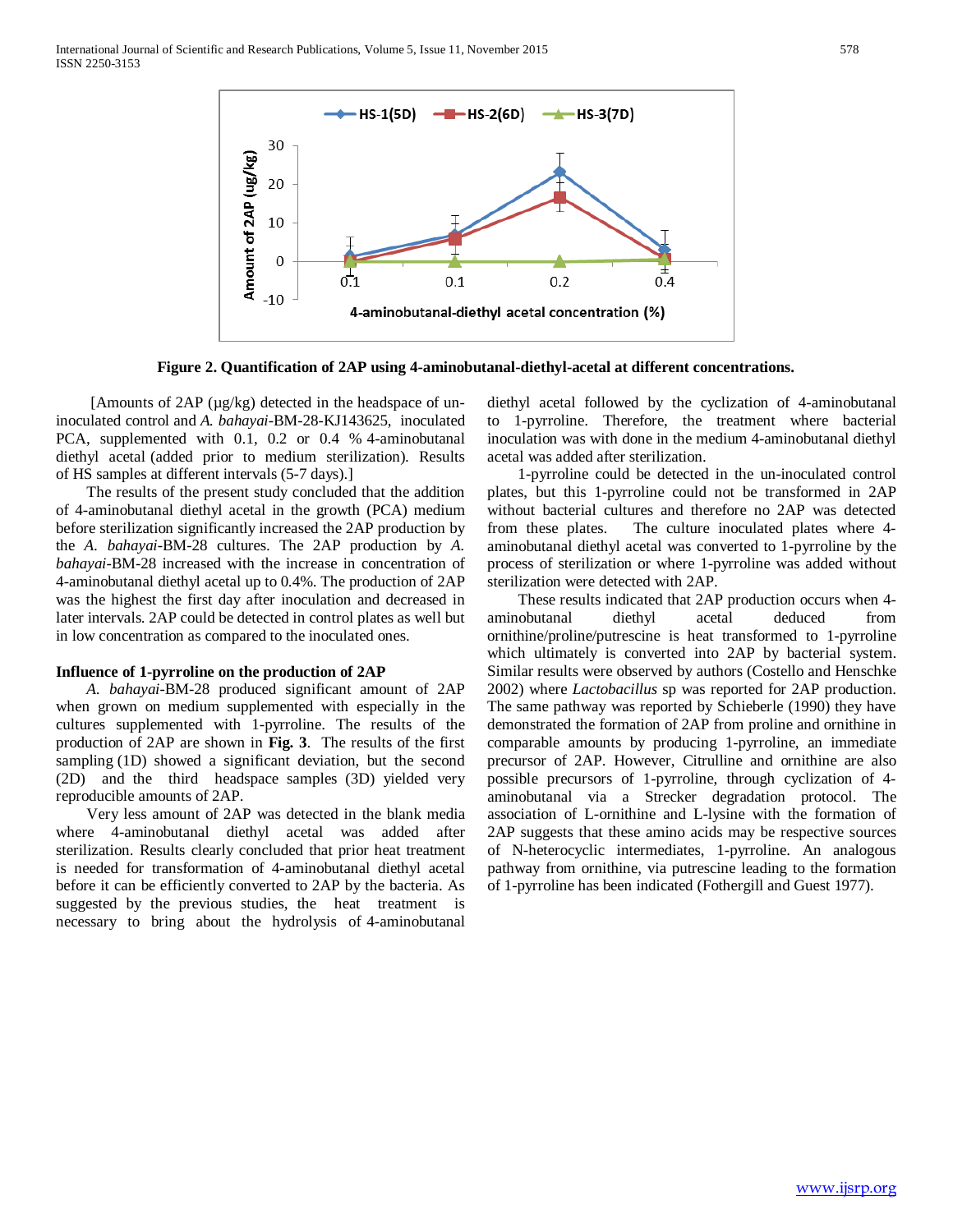

**Figure 2. Quantification of 2AP using 4-aminobutanal-diethyl-acetal at different concentrations.**

 [Amounts of 2AP (µg/kg) detected in the headspace of uninoculated control and *A. bahayai*-BM-28-KJ143625, inoculated PCA, supplemented with 0.1, 0.2 or 0.4 % 4-aminobutanal diethyl acetal (added prior to medium sterilization). Results of HS samples at different intervals (5-7 days).]

 The results of the present study concluded that the addition of 4-aminobutanal diethyl acetal in the growth (PCA) medium before sterilization significantly increased the 2AP production by the *A. bahayai*-BM-28 cultures. The 2AP production by *A. bahayai*-BM-28 increased with the increase in concentration of 4-aminobutanal diethyl acetal up to 0.4%. The production of 2AP was the highest the first day after inoculation and decreased in later intervals. 2AP could be detected in control plates as well but in low concentration as compared to the inoculated ones.

### **Influence of 1-pyrroline on the production of 2AP**

 *A. bahayai*-BM-28 produced significant amount of 2AP when grown on medium supplemented with especially in the cultures supplemented with 1-pyrroline. The results of the production of 2AP are shown in **Fig. 3**. The results of the first sampling (1D) showed a significant deviation, but the second (2D) and the third headspace samples (3D) yielded very reproducible amounts of 2AP.

 Very less amount of 2AP was detected in the blank media where 4-aminobutanal diethyl acetal was added after sterilization. Results clearly concluded that prior heat treatment is needed for transformation of 4-aminobutanal diethyl acetal before it can be efficiently converted to 2AP by the bacteria. As suggested by the previous studies, the heat treatment is necessary to bring about the hydrolysis of 4-aminobutanal diethyl acetal followed by the cyclization of 4-aminobutanal to 1-pyrroline. Therefore, the treatment where bacterial inoculation was with done in the medium 4-aminobutanal diethyl acetal was added after sterilization.

 1-pyrroline could be detected in the un-inoculated control plates, but this 1-pyrroline could not be transformed in 2AP without bacterial cultures and therefore no 2AP was detected from these plates. The culture inoculated plates where 4 aminobutanal diethyl acetal was converted to 1-pyrroline by the process of sterilization or where 1-pyrroline was added without sterilization were detected with 2AP.

 These results indicated that 2AP production occurs when 4 aminobutanal diethyl acetal deduced from ornithine/proline/putrescine is heat transformed to 1-pyrroline which ultimately is converted into 2AP by bacterial system. Similar results were observed by authors (Costello and Henschke 2002) where *Lactobacillus* sp was reported for 2AP production. The same pathway was reported by Schieberle (1990) they have demonstrated the formation of 2AP from proline and ornithine in comparable amounts by producing 1-pyrroline, an immediate precursor of 2AP. However, Citrulline and ornithine are also possible precursors of 1-pyrroline, through cyclization of 4 aminobutanal via a Strecker degradation protocol. The association of L-ornithine and L-lysine with the formation of 2AP suggests that these amino acids may be respective sources of N-heterocyclic intermediates, 1-pyrroline. An analogous pathway from ornithine, via putrescine leading to the formation of 1-pyrroline has been indicated (Fothergill and Guest 1977).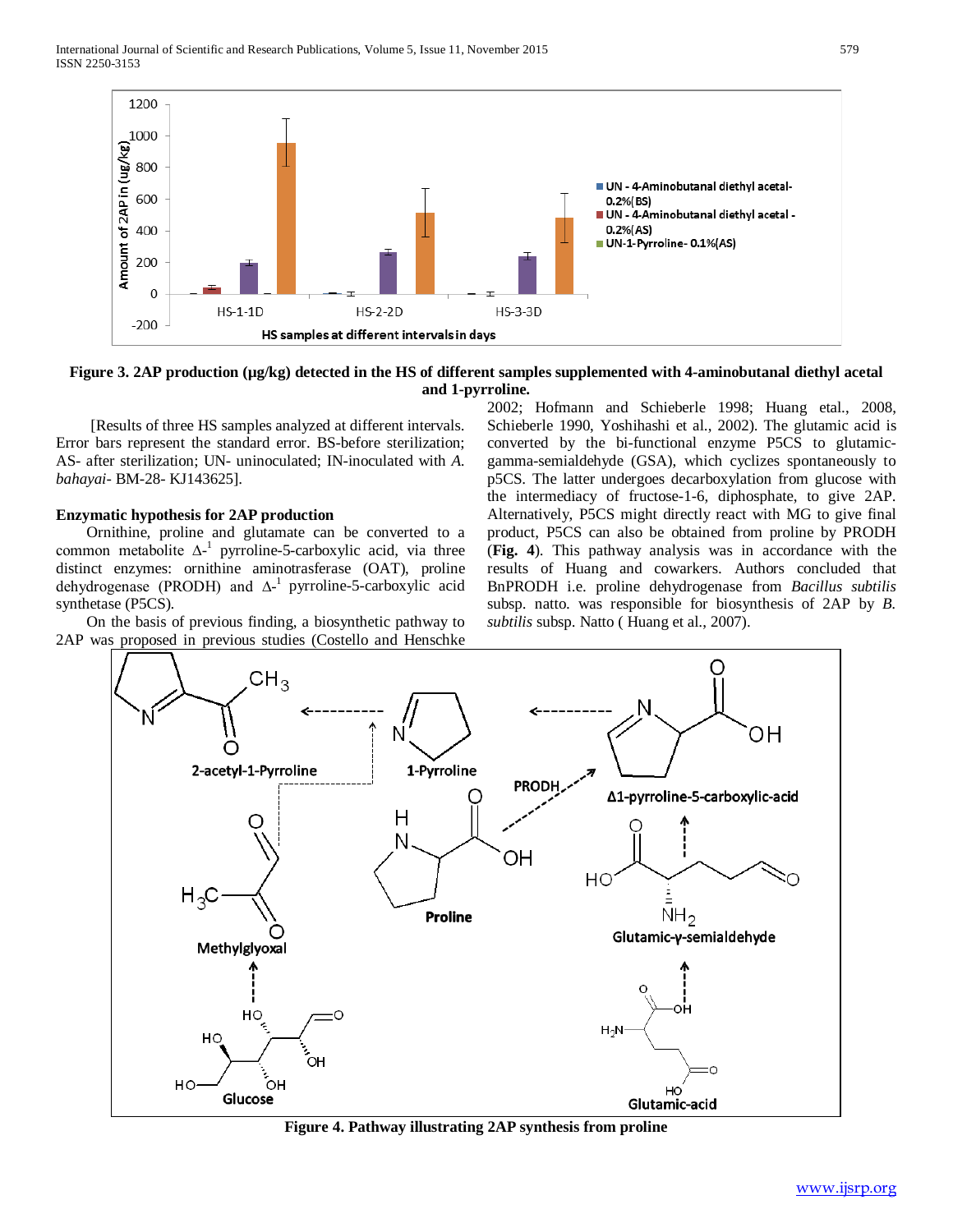

**Figure 3. 2AP production (µg/kg) detected in the HS of different samples supplemented with 4-aminobutanal diethyl acetal and 1-pyrroline.**

 [Results of three HS samples analyzed at different intervals. Error bars represent the standard error. BS-before sterilization; AS- after sterilization; UN- uninoculated; IN-inoculated with *A. bahayai*- BM-28- KJ143625].

# **Enzymatic hypothesis for 2AP production**

 Ornithine, proline and glutamate can be converted to a common metabolite  $\Delta^{-1}$  pyrroline-5-carboxylic acid, via three distinct enzymes: ornithine aminotrasferase (OAT), proline dehydrogenase (PRODH) and ∆<sup>-1</sup> pyrroline-5-carboxylic acid synthetase (P5CS).

 On the basis of previous finding, a biosynthetic pathway to 2AP was proposed in previous studies (Costello and Henschke

2002; Hofmann and Schieberle 1998; Huang etal., 2008, Schieberle 1990, Yoshihashi et al., 2002). The glutamic acid is converted by the bi-functional enzyme P5CS to glutamicgamma-semialdehyde (GSA), which cyclizes spontaneously to p5CS. The latter undergoes decarboxylation from glucose with the intermediacy of fructose-1-6, diphosphate, to give 2AP. Alternatively, P5CS might directly react with MG to give final product, P5CS can also be obtained from proline by PRODH (**Fig. 4**). This pathway analysis was in accordance with the results of Huang and cowarkers. Authors concluded that BnPRODH i.e. proline dehydrogenase from *Bacillus subtilis*  subsp. natto. was responsible for biosynthesis of 2AP by *B. subtilis* subsp. Natto ( Huang et al., 2007).



**Figure 4. Pathway illustrating 2AP synthesis from proline**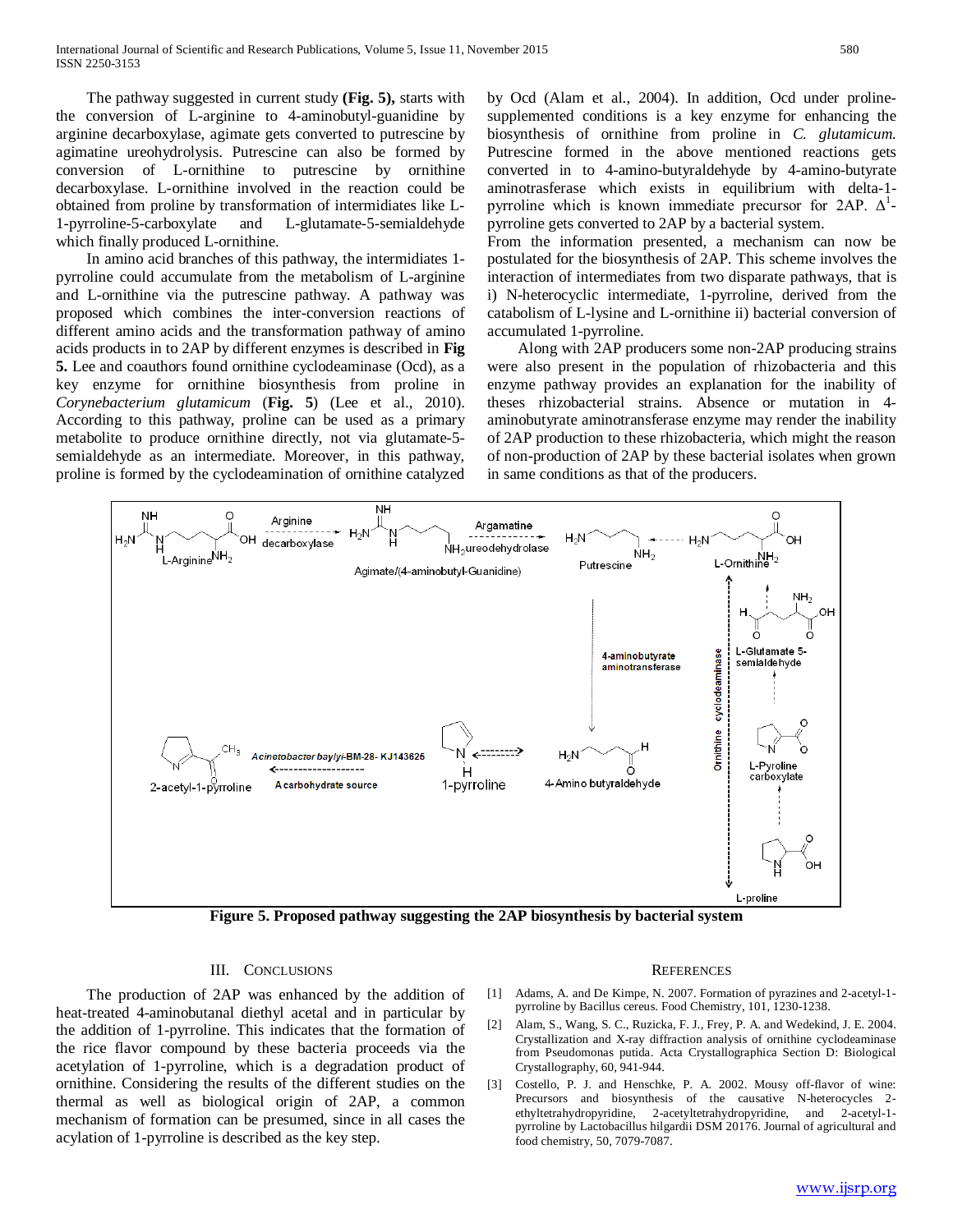The pathway suggested in current study **(Fig. 5),** starts with the conversion of L-arginine to 4-aminobutyl-guanidine by arginine decarboxylase, agimate gets converted to putrescine by agimatine ureohydrolysis. Putrescine can also be formed by conversion of L-ornithine to putrescine by ornithine decarboxylase. L-ornithine involved in the reaction could be obtained from proline by transformation of intermidiates like L-1-pyrroline-5-carboxylate and L-glutamate-5-semialdehyde which finally produced L-ornithine.

 In amino acid branches of this pathway, the intermidiates 1 pyrroline could accumulate from the metabolism of L-arginine and L-ornithine via the putrescine pathway. A pathway was proposed which combines the inter-conversion reactions of different amino acids and the transformation pathway of amino acids products in to 2AP by different enzymes is described in **Fig 5.** Lee and coauthors found ornithine cyclodeaminase (Ocd), as a key enzyme for ornithine biosynthesis from proline in *Corynebacterium glutamicum* (**Fig. 5**) (Lee et al., 2010). According to this pathway, proline can be used as a primary metabolite to produce ornithine directly, not via glutamate-5 semialdehyde as an intermediate. Moreover, in this pathway, proline is formed by the cyclodeamination of ornithine catalyzed

by Ocd (Alam et al., 2004). In addition, Ocd under prolinesupplemented conditions is a key enzyme for enhancing the biosynthesis of ornithine from proline in *C. glutamicum.*  Putrescine formed in the above mentioned reactions gets converted in to 4-amino-butyraldehyde by 4-amino-butyrate aminotrasferase which exists in equilibrium with delta-1 pyrroline which is known immediate precursor for 2AP.  $\Delta^1$ pyrroline gets converted to 2AP by a bacterial system.

From the information presented, a mechanism can now be postulated for the biosynthesis of 2AP. This scheme involves the interaction of intermediates from two disparate pathways, that is i) N-heterocyclic intermediate, 1-pyrroline, derived from the catabolism of L-lysine and L-ornithine ii) bacterial conversion of accumulated 1-pyrroline.

 Along with 2AP producers some non-2AP producing strains were also present in the population of rhizobacteria and this enzyme pathway provides an explanation for the inability of theses rhizobacterial strains. Absence or mutation in 4 aminobutyrate aminotransferase enzyme may render the inability of 2AP production to these rhizobacteria, which might the reason of non-production of 2AP by these bacterial isolates when grown in same conditions as that of the producers.



**Figure 5. Proposed pathway suggesting the 2AP biosynthesis by bacterial system**

### III. CONCLUSIONS

 The production of 2AP was enhanced by the addition of heat-treated 4-aminobutanal diethyl acetal and in particular by the addition of 1-pyrroline. This indicates that the formation of the rice flavor compound by these bacteria proceeds via the acetylation of 1-pyrroline, which is a degradation product of ornithine. Considering the results of the different studies on the thermal as well as biological origin of 2AP, a common mechanism of formation can be presumed, since in all cases the acylation of 1-pyrroline is described as the key step.

#### **REFERENCES**

- [1] Adams, A. and De Kimpe, N. 2007. Formation of pyrazines and 2-acetyl-1 pyrroline by Bacillus cereus. Food Chemistry, 101, 1230-1238.
- [2] Alam, S., Wang, S. C., Ruzicka, F. J., Frey, P. A. and Wedekind, J. E. 2004. Crystallization and X-ray diffraction analysis of ornithine cyclodeaminase from Pseudomonas putida. Acta Crystallographica Section D: Biological Crystallography, 60, 941-944.
- [3] Costello, P. J. and Henschke, P. A. 2002. Mousy off-flavor of wine: Precursors and biosynthesis of the causative N-heterocycles 2 ethyltetrahydropyridine, 2-acetyltetrahydropyridine, and 2-acetyl-1 pyrroline by Lactobacillus hilgardii DSM 20176. Journal of agricultural and food chemistry, 50, 7079-7087.